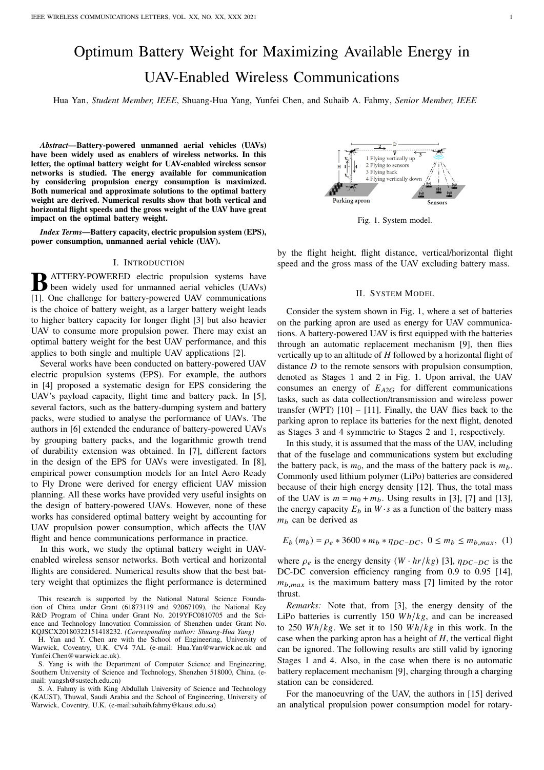# Optimum Battery Weight for Maximizing Available Energy in UAV-Enabled Wireless Communications

Hua Yan, *Student Member, IEEE*, Shuang-Hua Yang, Yunfei Chen, and Suhaib A. Fahmy, *Senior Member, IEEE*

*Abstract*—Battery-powered unmanned aerial vehicles (UAVs) have been widely used as enablers of wireless networks. In this letter, the optimal battery weight for UAV-enabled wireless sensor networks is studied. The energy available for communication by considering propulsion energy consumption is maximized. Both numerical and approximate solutions to the optimal battery weight are derived. Numerical results show that both vertical and horizontal flight speeds and the gross weight of the UAV have great impact on the optimal battery weight.

*Index Terms*—Battery capacity, electric propulsion system (EPS), power consumption, unmanned aerial vehicle (UAV).

#### I. INTRODUCTION

**B** ATTERY-POWERED electric propulsion systems have<br>been widely used for unmanned aerial vehicles (UAVs) ATTERY-POWERED electric propulsion systems have [1]. One challenge for battery-powered UAV communications is the choice of battery weight, as a larger battery weight leads to higher battery capacity for longer flight [3] but also heavier UAV to consume more propulsion power. There may exist an optimal battery weight for the best UAV performance, and this applies to both single and multiple UAV applications [2].

Several works have been conducted on battery-powered UAV electric propulsion systems (EPS). For example, the authors in [4] proposed a systematic design for EPS considering the UAV's payload capacity, flight time and battery pack. In [5], several factors, such as the battery-dumping system and battery packs, were studied to analyse the performance of UAVs. The authors in [6] extended the endurance of battery-powered UAVs by grouping battery packs, and the logarithmic growth trend of durability extension was obtained. In [7], different factors in the design of the EPS for UAVs were investigated. In [8], empirical power consumption models for an Intel Aero Ready to Fly Drone were derived for energy efficient UAV mission planning. All these works have provided very useful insights on the design of battery-powered UAVs. However, none of these works has considered optimal battery weight by accounting for UAV propulsion power consumption, which affects the UAV flight and hence communications performance in practice.

In this work, we study the optimal battery weight in UAVenabled wireless sensor networks. Both vertical and horizontal flights are considered. Numerical results show that the best battery weight that optimizes the flight performance is determined

This research is supported by the National Natural Science Foundation of China under Grant (61873119 and 92067109), the National Key R&D Program of China under Grant No. 2019YFC0810705 and the Science and Technology Innovation Commission of Shenzhen under Grant No. KQJSCX20180322151418232. *(Corresponding author: Shuang-Hua Yang)*

H. Yan and Y. Chen are with the School of Engineering, University of Warwick, Coventry, U.K. CV4 7AL (e-mail: Hua.Yan@warwick.ac.uk and Yunfei.Chen@warwick.ac.uk).

S. Yang is with the Department of Computer Science and Engineering, Southern University of Science and Technology, Shenzhen 518000, China. (email: yangsh@sustech.edu.cn)

S. A. Fahmy is with King Abdullah University of Science and Technology (KAUST), Thuwal, Saudi Arabia and the School of Engineering, University of Warwick, Coventry, U.K. (e-mail:suhaib.fahmy@kaust.edu.sa)



Fig. 1. System model.

by the flight height, flight distance, vertical/horizontal flight speed and the gross mass of the UAV excluding battery mass.

# II. SYSTEM MODEL

Consider the system shown in Fig. 1, where a set of batteries on the parking apron are used as energy for UAV communications. A battery-powered UAV is first equipped with the batteries through an automatic replacement mechanism [9], then flies vertically up to an altitude of  $H$  followed by a horizontal flight of distance  $D$  to the remote sensors with propulsion consumption, denoted as Stages 1 and 2 in Fig. 1. Upon arrival, the UAV consumes an energy of  $E_{A2G}$  for different communications tasks, such as data collection/transmission and wireless power transfer (WPT)  $[10] - [11]$ . Finally, the UAV flies back to the parking apron to replace its batteries for the next flight, denoted as Stages 3 and 4 symmetric to Stages 2 and 1, respectively.

In this study, it is assumed that the mass of the UAV, including that of the fuselage and communications system but excluding the battery pack, is  $m_0$ , and the mass of the battery pack is  $m_b$ . Commonly used lithium polymer (LiPo) batteries are considered because of their high energy density [12]. Thus, the total mass of the UAV is  $m = m_0 + m_b$ . Using results in [3], [7] and [13], the energy capacity  $E_b$  in  $W \cdot s$  as a function of the battery mass  $m_b$  can be derived as

$$
E_b(m_b) = \rho_e * 3600 * m_b * \eta_{DC-DC}, \ 0 \le m_b \le m_{b,max}, \ (1)
$$

where  $\rho_e$  is the energy density  $(W \cdot hr/kg)$  [3],  $\eta_{DC-DC}$  is the DC-DC conversion efficiency ranging from 0.9 to 0.95 [14],  $m_{b,max}$  is the maximum battery mass [7] limited by the rotor thrust.

*Remarks:* Note that, from [3], the energy density of the LiPo batteries is currently 150  $Wh/kg$ , and can be increased to 250  $Wh/kg$ . We set it to 150  $Wh/kg$  in this work. In the case when the parking apron has a height of  $H$ , the vertical flight can be ignored. The following results are still valid by ignoring Stages 1 and 4. Also, in the case when there is no automatic battery replacement mechanism [9], charging through a charging station can be considered.

For the manoeuvring of the UAV, the authors in [15] derived an analytical propulsion power consumption model for rotary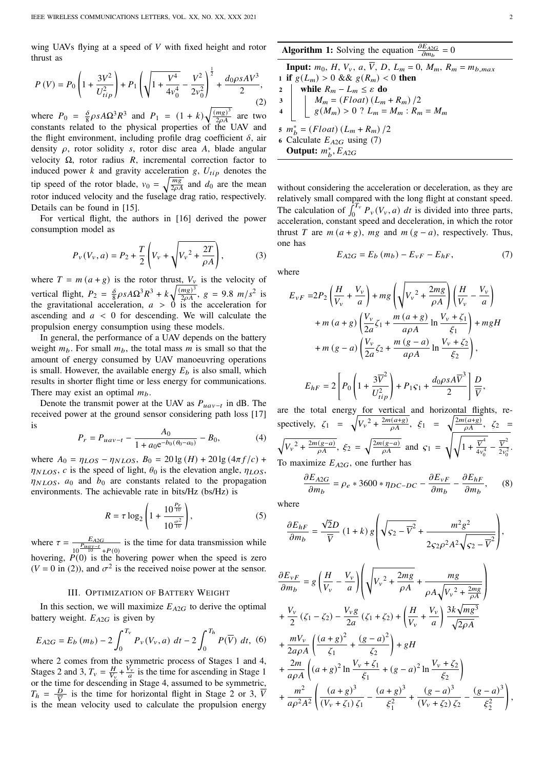wing UAVs flying at a speed of  $V$  with fixed height and rotor thrust as

$$
P(V) = P_0 \left( 1 + \frac{3V^2}{U_{tip}^2} \right) + P_1 \left( \sqrt{1 + \frac{V^4}{4v_0^4}} - \frac{V^2}{2v_0^2} \right)^{\frac{1}{2}} + \frac{d_0 \rho s A V^3}{2},
$$
\n(2)

where  $P_0 = \frac{\delta}{8}$  $\frac{\delta}{8} \rho s A \Omega^3 R^3$  and  $P_1 = (1 + k) \sqrt{\frac{(mg)^3}{2\rho A}}$  are two constants related to the physical properties of the UAV and the flight environment, including profile drag coefficient  $\delta$ , air density  $\rho$ , rotor solidity s, rotor disc area A, blade angular velocity  $Ω$ , rotor radius  $R$ , incremental correction factor to induced power  $k$  and gravity acceleration  $g, U_{tip}$  denotes the tip speed of the rotor blade,  $v_0 = \sqrt{\frac{mg}{2\rho A}}$  and  $d_0$  are the mean rotor induced velocity and the fuselage drag ratio, respectively. Details can be found in [15].

For vertical flight, the authors in [16] derived the power consumption model as

$$
P_v(V_v, a) = P_2 + \frac{T}{2} \left( V_v + \sqrt{V_v^2 + \frac{2T}{\rho A}} \right),
$$
 (3)

where  $T = m(a + g)$  is the rotor thrust,  $V_v$  is the velocity of vertical flight,  $P_2 = \frac{\delta}{8}$  $\frac{\delta}{8} \rho s A \Omega^3 R^3 + k \sqrt{\frac{(mg)^3}{2\rho A}}, \ g = 9.8 \ m/s^2$  is the gravitational acceleration,  $a > 0$  is the acceleration for ascending and  $a < 0$  for descending. We will calculate the propulsion energy consumption using these models.

In general, the performance of a UAV depends on the battery weight  $m_b$ . For small  $m_b$ , the total mass m is small so that the amount of energy consumed by UAV manoeuvring operations is small. However, the available energy  $E_b$  is also small, which results in shorter flight time or less energy for communications. There may exist an optimal  $m<sub>b</sub>$ .

Denote the transmit power at the UAV as  $P_{uav-t}$  in dB. The received power at the ground sensor considering path loss [17] is

$$
P_r = P_{uav-t} - \frac{A_0}{1 + a_0 e^{-b_0(\theta_0 - a_0)}} - B_0,
$$
 (4)

where  $A_0 = \eta_{LOS} - \eta_{NLOS}$ ,  $B_0 = 20 \lg(H) + 20 \lg(4\pi f/c) +$  $\eta_{NLOS}$ , c is the speed of light,  $\theta_0$  is the elevation angle,  $\eta_{LOS}$ ,  $\eta_{NLOS}$ ,  $a_0$  and  $b_0$  are constants related to the propagation environments. The achievable rate in bits/Hz (bs/Hz) is

$$
R = \tau \log_2 \left( 1 + \frac{10^{\frac{P_r}{10}}}{10^{\frac{\sigma^2}{10}}} \right),\tag{5}
$$

where  $\tau = \frac{E_{A2G}}{P_{uav-t}}$  $\frac{E_{A2G}}{10^{P_{U2U}-1}}$  is the time for data transmission while hovering,  $\overrightarrow{P(0)}$  is the hovering power when the speed is zero  $(V = 0$  in (2)), and  $\sigma^2$  is the received noise power at the sensor.

## III. OPTIMIZATION OF BATTERY WEIGHT

In this section, we will maximize  $E_{A2G}$  to derive the optimal battery weight.  $E_{A2G}$  is given by

$$
E_{A2G} = E_b (m_b) - 2 \int_0^{T_v} P_v(V_v, a) dt - 2 \int_0^{T_h} P(\overline{V}) dt, (6)
$$

where 2 comes from the symmetric process of Stages 1 and 4, Stages 2 and 3,  $T_v = \frac{H}{V_v} + \frac{V_v}{a}$  is the time for ascending in Stage 1 or the time for descending in Stage 4, assumed to be symmetric,  $T_h = \frac{D}{\overline{V}}$  $\frac{D}{\overline{V}}$  is the time for horizontal flight in Stage 2 or 3,  $\overline{V}$ is the mean velocity used to calculate the propulsion energy

without considering the acceleration or deceleration, as they are relatively small compared with the long flight at constant speed. The calculation of  $\int_0^{T_V} P_V(V_v, a) dt$  is divided into three parts, acceleration, constant speed and deceleration, in which the rotor thrust T are  $m(a + g)$ ,  $mg$  and  $m(g - a)$ , respectively. Thus, one has

$$
E_{A2G} = E_b (m_b) - E_{vF} - E_{hF},
$$
 (7)

where

$$
E_{vF} = 2P_2 \left(\frac{H}{V_v} + \frac{V_v}{a}\right) + mg \left(\sqrt{V_v^2 + \frac{2mg}{\rho A}}\right) \left(\frac{H}{V_v} - \frac{V_v}{a}\right)
$$
  
+  $m (a + g) \left(\frac{V_v}{2a} \zeta_1 + \frac{m (a + g)}{a\rho A} \ln \frac{V_v + \zeta_1}{\xi_1}\right) + mgH$   
+  $m (g - a) \left(\frac{V_v}{2a} \zeta_2 + \frac{m (g - a)}{a\rho A} \ln \frac{V_v + \zeta_2}{\xi_2}\right),$   

$$
E_{hF} = 2\left[P_0 \left(1 + \frac{3\overline{V}^2}{U_{tip}^2}\right) + P_1 S_1 + \frac{d_0 \rho s A \overline{V}^3}{2}\right] \frac{D}{V},
$$

are the total energy for vertical and horizontal flights, respectively,  $\zeta_1 = \sqrt{V_v^2 + \frac{2m(a+g)}{gA}}, \zeta_1 = \sqrt{\frac{2m(a+g)}{gA}}, \zeta_2 =$  $\sqrt{V_v^2 + \frac{2m(g-a)}{\rho A}}, \xi_2 = \sqrt{\frac{2m(g-a)}{\rho A}}$  and  $\zeta_1 =$  $\sqrt{\sqrt{1+\frac{\overline{V}^4}{4v^4}}}$  $\frac{\overline{V}^4}{4v_0^4} - \frac{\overline{V}^2}{2v_0^2}$  $rac{V}{2v_0^2}$ . To maximize  $E_{A2G}$ , one further has

$$
\frac{\partial E_{A2G}}{\partial m_b} = \rho_e * 3600 * \eta_{DC-DC} - \frac{\partial E_{\nu F}}{\partial m_b} - \frac{\partial E_{hF}}{\partial m_b},\qquad(8)
$$

where

$$
\frac{\partial E_{hF}}{\partial m_b} = \frac{\sqrt{2}D}{\overline{V}} (1+k) g \left( \sqrt{5^2 - \overline{V}^2} + \frac{m^2 g^2}{25^2 \rho^2 A^2 \sqrt{5^2 - \overline{V}^2}} \right),
$$

$$
\frac{\partial E_{vF}}{\partial m_{b}} = g \left( \frac{H}{V_{v}} - \frac{V_{v}}{a} \right) \left( \sqrt{V_{v}^{2} + \frac{2mg}{\rho A}} + \frac{mg}{\rho A \sqrt{V_{v}^{2} + \frac{2mg}{\rho A}}} \right) \n+ \frac{V_{v}}{2} \left( \zeta_{1} - \zeta_{2} \right) - \frac{V_{v}g}{2a} \left( \zeta_{1} + \zeta_{2} \right) + \left( \frac{H}{V_{v}} + \frac{V_{v}}{a} \right) \frac{3k\sqrt{mg^{3}}}{\sqrt{2\rho A}} \n+ \frac{mV_{v}}{2a\rho A} \left( \frac{(a+g)^{2}}{\zeta_{1}} + \frac{(g-a)^{2}}{\zeta_{2}} \right) + gH \n+ \frac{2m}{a\rho A} \left( (a+g)^{2} \ln \frac{V_{v} + \zeta_{1}}{\zeta_{1}} + (g-a)^{2} \ln \frac{V_{v} + \zeta_{2}}{\zeta_{2}} \right) \n+ \frac{m^{2}}{a\rho^{2} A^{2}} \left( \frac{(a+g)^{3}}{(V_{v} + \zeta_{1}) \zeta_{1}} - \frac{(a+g)^{3}}{\zeta_{1}^{2}} + \frac{(g-a)^{3}}{(V_{v} + \zeta_{2}) \zeta_{2}} - \frac{(g-a)^{3}}{\zeta_{2}^{2}} \right),
$$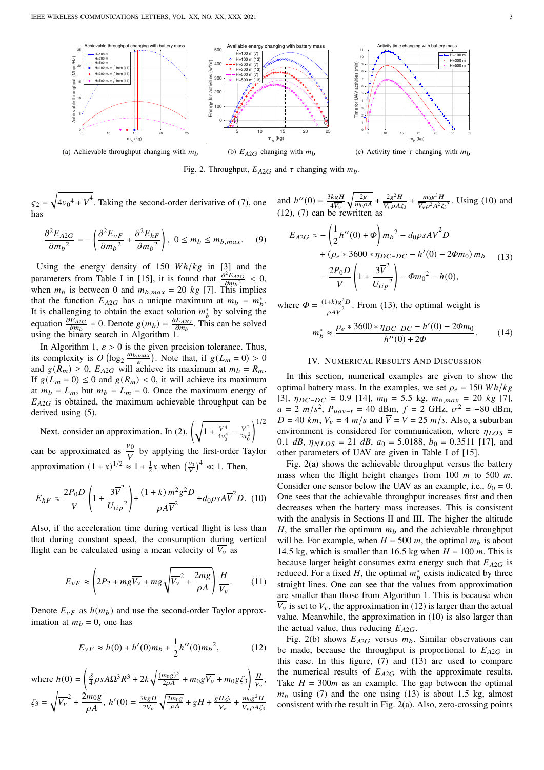

Fig. 2. Throughput,  $E_{A2G}$  and  $\tau$  changing with  $m_b$ .

 $s_2 =$  $\sqrt{4v_0^4 + \overline{V}^4}$ . Taking the second-order derivative of (7), one has

$$
\frac{\partial^2 E_{A2G}}{\partial m_b^2} = -\left(\frac{\partial^2 E_{vF}}{\partial m_b^2} + \frac{\partial^2 E_{hF}}{\partial m_b^2}\right), \ 0 \le m_b \le m_{b,max}.\tag{9}
$$

Using the energy density of 150  $Wh/kg$  in [3] and the parameters from Table I in [15], it is found that  $\frac{\partial^2 E_{A2G}}{\partial m_b^2} < 0$ , when  $m_b$  is between 0 and  $m_{b,max} = 20$  kg [7]. This implies that the function  $E_{A2G}$  has a unique maximum at  $m_b = m_b^*$ . It is challenging to obtain the exact solution  $m_b^*$  by solving the equation  $\frac{\partial E_{A2G}}{\partial m_b} = 0$ . Denote  $g(m_b) = \frac{\partial E_{A2G}}{\partial m_b}$ . This can be solved using the binary search in Algorithm 1.

In Algorithm 1,  $\varepsilon > 0$  is the given precision tolerance. Thus, its complexity is  $O(\log_2 \frac{m_{b,max}}{\varepsilon})$ . Note that, if  $g(L_m = 0) > 0$ and  $g(R_m) \geq 0$ ,  $E_{A2G}$  will achieve its maximum at  $m_b = R_m$ . If  $g(L_m = 0) \le 0$  and  $g(R_m) < 0$ , it will achieve its maximum at  $m_b = L_m$ , but  $m_b = L_m = 0$ . Once the maximum energy of  $E_{A2G}$  is obtained, the maximum achievable throughput can be derived using (5).

Next, consider an approximation. In (2),  $\left(\sqrt{1 + \frac{V^4}{4\sigma^2}}\right)$  $rac{V^4}{4v_0^4} - \frac{V^2}{2v_0^2}$  $2v_0^2$  $1/2$ can be approximated as  $\frac{v_0}{V}$  by applying the first-order Taylor

approximation  $(1+x)^{1/2} \approx 1 + \frac{1}{2}x$  when  $(\frac{v_0}{V})^4 \ll 1$ . Then,

$$
E_{hF} \approx \frac{2P_0 D}{\overline{V}} \left( 1 + \frac{3\overline{V}^2}{U_{tip}^2} \right) + \frac{(1+k) m^2 g^2 D}{\rho A \overline{V}^2} + d_0 \rho s A \overline{V}^2 D. (10)
$$

Also, if the acceleration time during vertical flight is less than that during constant speed, the consumption during vertical flight can be calculated using a mean velocity of  $\overline{V_v}$  as

$$
E_{vF} \approx \left(2P_2 + mg\overline{V_v} + mg\sqrt{\overline{V_v}^2 + \frac{2mg}{\rho A}}\right)\frac{H}{\overline{V_v}}.\tag{11}
$$

Denote  $E_{vF}$  as  $h(m_b)$  and use the second-order Taylor approximation at  $m_b = 0$ , one has

$$
E_{vF} \approx h(0) + h'(0)m_b + \frac{1}{2}h''(0)m_b^2,
$$
 (12)

where 
$$
h(0) = \left(\frac{\delta}{4}\rho s A \Omega^3 R^3 + 2k\sqrt{\frac{(m_0 g)^3}{2\rho A}} + m_0 g \overline{V_v} + m_0 g \zeta_3\right) \frac{H}{\overline{V_v}},
$$
  
\n $\zeta_3 = \sqrt{\overline{V_v}^2 + \frac{2m_0 g}{\rho A}}, \quad h'(0) = \frac{3k g H}{2\overline{V_v}} \sqrt{\frac{2m_0 g}{\rho A}} + g H + \frac{g H \zeta_3}{\overline{V_v}} + \frac{m_0 g^2 H}{\overline{V_v} \rho A \zeta_3}$ 

and  $h''(0) = \frac{3kgH}{4V}$  $4\overline{V_{\nu}}$  $\sqrt{\frac{2g}{m_0\rho A} + \frac{2g^2H}{\overline{V_v}\rho A} }$  $\frac{2g^2H}{\overline{V_v}\rho A\zeta_3} + \frac{m_0g^3H}{\overline{V_v}\rho^2A^2\zeta_3}$  $\frac{m_0 g^2 H}{\overline{V_v} \rho^2 A^2 \zeta_3^3}$ . Using (10) and (12), (7) can be rewritten as

$$
E_{A2G} \approx -\left(\frac{1}{2}h''(0) + \Phi\right) m_b^2 - d_0 \rho s A \overline{V}^2 D
$$
  
+  $(\rho_e * 3600 * \eta_{DC-DC} - h'(0) - 2\Phi m_0) m_b$  (13)  
-  $\frac{2P_0 D}{\overline{V}} \left(1 + \frac{3\overline{V}^2}{U_{tip}^2}\right) - \Phi m_0^2 - h(0),$ 

where  $\Phi = \frac{(1+k)g^2 D}{\sqrt{r^2}}$  $\frac{+k/g-D}{\rho A \overline{V}^2}$ . From (13), the optimal weight is  $m_b^* \approx \frac{\rho_e * 3600 * \eta_{DC-DC} - h'(0) - 2\Phi m_0}{h''(0) + 3\Phi}$ 

# $h''(0) + 2\Phi$  $(14)$

# IV. NUMERICAL RESULTS AND DISCUSSION

In this section, numerical examples are given to show the optimal battery mass. In the examples, we set  $\rho_e = 150 \text{ Wh/kg}$ [3],  $\eta_{DC-DC} = 0.9$  [14],  $m_0 = 5.5$  kg,  $m_{b,max} = 20$  kg [7],  $a = 2 \, m/s^2$ ,  $P_{uav-t} = 40$  dBm,  $f = 2$  GHz,  $\sigma^2 = -80$  dBm,  $D = 40$  km,  $V_v = 4$  m/s and  $\overline{V} = V = 25$  m/s. Also, a suburban environment is considered for communication, where  $\eta_{LOS}$  = 0.1  $dB$ ,  $\eta_{NLOS} = 21$   $dB$ ,  $a_0 = 5.0188$ ,  $b_0 = 0.3511$  [17], and other parameters of UAV are given in Table I of [15].

Fig. 2(a) shows the achievable throughput versus the battery mass when the flight height changes from 100  $m$  to 500  $m$ . Consider one sensor below the UAV as an example, i.e.,  $\theta_0 = 0$ . One sees that the achievable throughput increases first and then decreases when the battery mass increases. This is consistent with the analysis in Sections II and III. The higher the altitude H, the smaller the optimum  $m_b$  and the achievable throughput will be. For example, when  $H = 500$  m, the optimal  $m_b$  is about 14.5 kg, which is smaller than 16.5 kg when  $H = 100$  m. This is because larger height consumes extra energy such that  $E_{A2G}$  is reduced. For a fixed  $H$ , the optimal  $m_b^*$  exists indicated by three straight lines. One can see that the values from approximation are smaller than those from Algorithm 1. This is because when  $\overline{V_v}$  is set to  $V_v$ , the approximation in (12) is larger than the actual value. Meanwhile, the approximation in (10) is also larger than the actual value, thus reducing  $E_{A2G}$ .

Fig. 2(b) shows  $E_{A2G}$  versus  $m_b$ . Similar observations can be made, because the throughput is proportional to  $E_{A2G}$  in this case. In this figure, (7) and (13) are used to compare the numerical results of  $E_{A2G}$  with the approximate results. Take  $H = 300m$  as an example. The gap between the optimal  $m_b$  using (7) and the one using (13) is about 1.5 kg, almost consistent with the result in Fig. 2(a). Also, zero-crossing points